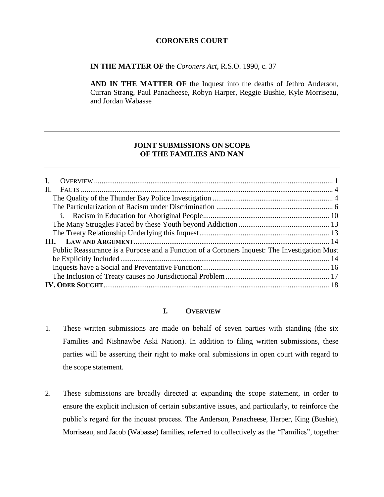### **CORONERS COURT**

**IN THE MATTER OF** the *Coroners Act*, R.S.O. 1990, c. 37

**AND IN THE MATTER OF** the Inquest into the deaths of Jethro Anderson, Curran Strang, Paul Panacheese, Robyn Harper, Reggie Bushie, Kyle Morriseau, and Jordan Wabasse

## **JOINT SUBMISSIONS ON SCOPE OF THE FAMILIES AND NAN**

| $\mathbf{I}$ .                                                                               |  |
|----------------------------------------------------------------------------------------------|--|
| $\Pi$ .                                                                                      |  |
|                                                                                              |  |
|                                                                                              |  |
|                                                                                              |  |
|                                                                                              |  |
|                                                                                              |  |
|                                                                                              |  |
| Public Reassurance is a Purpose and a Function of a Coroners Inquest: The Investigation Must |  |
|                                                                                              |  |
|                                                                                              |  |
|                                                                                              |  |
|                                                                                              |  |
|                                                                                              |  |

## **I. OVERVIEW**

- <span id="page-0-0"></span>1. These written submissions are made on behalf of seven parties with standing (the six Families and Nishnawbe Aski Nation). In addition to filing written submissions, these parties will be asserting their right to make oral submissions in open court with regard to the scope statement.
- 2. These submissions are broadly directed at expanding the scope statement, in order to ensure the explicit inclusion of certain substantive issues, and particularly, to reinforce the public's regard for the inquest process. The Anderson, Panacheese, Harper, King (Bushie), Morriseau, and Jacob (Wabasse) families, referred to collectively as the "Families", together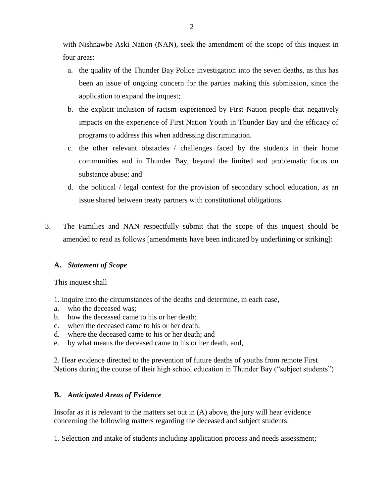with Nishnawbe Aski Nation (NAN), seek the amendment of the scope of this inquest in four areas:

- a. the quality of the Thunder Bay Police investigation into the seven deaths, as this has been an issue of ongoing concern for the parties making this submission, since the application to expand the inquest;
- b. the explicit inclusion of racism experienced by First Nation people that negatively impacts on the experience of First Nation Youth in Thunder Bay and the efficacy of programs to address this when addressing discrimination.
- c. the other relevant obstacles / challenges faced by the students in their home communities and in Thunder Bay, beyond the limited and problematic focus on substance abuse; and
- d. the political / legal context for the provision of secondary school education, as an issue shared between treaty partners with constitutional obligations.
- 3. The Families and NAN respectfully submit that the scope of this inquest should be amended to read as follows [amendments have been indicated by underlining or striking]:

# **A.** *Statement of Scope*

This inquest shall

- 1. Inquire into the circumstances of the deaths and determine, in each case,
- a. who the deceased was;
- b. how the deceased came to his or her death;
- c. when the deceased came to his or her death;
- d. where the deceased came to his or her death; and
- e. by what means the deceased came to his or her death, and,

2. Hear evidence directed to the prevention of future deaths of youths from remote First Nations during the course of their high school education in Thunder Bay ("subject students")

# **B.** *Anticipated Areas of Evidence*

Insofar as it is relevant to the matters set out in (A) above, the jury will hear evidence concerning the following matters regarding the deceased and subject students:

1. Selection and intake of students including application process and needs assessment;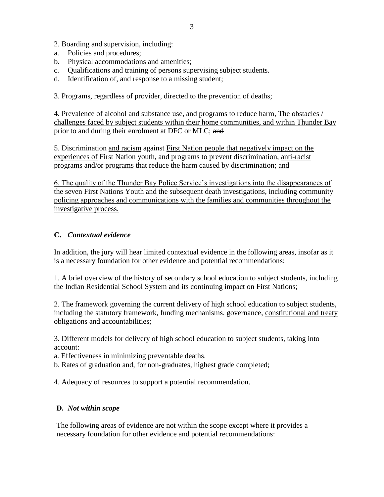2. Boarding and supervision, including:

- a. Policies and procedures;
- b. Physical accommodations and amenities;
- c. Qualifications and training of persons supervising subject students.
- d. Identification of, and response to a missing student;

3. Programs, regardless of provider, directed to the prevention of deaths;

4. Prevalence of alcohol and substance use, and programs to reduce harm, The obstacles / challenges faced by subject students within their home communities, and within Thunder Bay prior to and during their enrolment at DFC or MLC; and

5. Discrimination and racism against First Nation people that negatively impact on the experiences of First Nation youth, and programs to prevent discrimination, anti-racist programs and/or programs that reduce the harm caused by discrimination; and

6. The quality of the Thunder Bay Police Service's investigations into the disappearances of the seven First Nations Youth and the subsequent death investigations, including community policing approaches and communications with the families and communities throughout the investigative process.

## **C.** *Contextual evidence*

In addition, the jury will hear limited contextual evidence in the following areas, insofar as it is a necessary foundation for other evidence and potential recommendations:

1. A brief overview of the history of secondary school education to subject students, including the Indian Residential School System and its continuing impact on First Nations;

2. The framework governing the current delivery of high school education to subject students, including the statutory framework, funding mechanisms, governance, constitutional and treaty obligations and accountabilities;

3. Different models for delivery of high school education to subject students, taking into account:

a. Effectiveness in minimizing preventable deaths.

b. Rates of graduation and, for non-graduates, highest grade completed;

4. Adequacy of resources to support a potential recommendation.

## **D.** *Not within scope*

The following areas of evidence are not within the scope except where it provides a necessary foundation for other evidence and potential recommendations: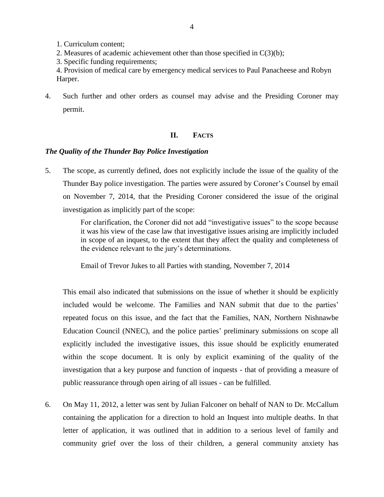- 1. Curriculum content;
- 2. Measures of academic achievement other than those specified in  $C(3)(b)$ ;
- 3. Specific funding requirements;
- 4. Provision of medical care by emergency medical services to Paul Panacheese and Robyn Harper.
- 4. Such further and other orders as counsel may advise and the Presiding Coroner may permit.

## **II. FACTS**

#### <span id="page-3-1"></span><span id="page-3-0"></span>*The Quality of the Thunder Bay Police Investigation*

5. The scope, as currently defined, does not explicitly include the issue of the quality of the Thunder Bay police investigation. The parties were assured by Coroner's Counsel by email on November 7, 2014, that the Presiding Coroner considered the issue of the original investigation as implicitly part of the scope:

> For clarification, the Coroner did not add "investigative issues" to the scope because it was his view of the case law that investigative issues arising are implicitly included in scope of an inquest, to the extent that they affect the quality and completeness of the evidence relevant to the jury's determinations.

Email of Trevor Jukes to all Parties with standing, November 7, 2014

This email also indicated that submissions on the issue of whether it should be explicitly included would be welcome. The Families and NAN submit that due to the parties' repeated focus on this issue, and the fact that the Families, NAN, Northern Nishnawbe Education Council (NNEC), and the police parties' preliminary submissions on scope all explicitly included the investigative issues, this issue should be explicitly enumerated within the scope document. It is only by explicit examining of the quality of the investigation that a key purpose and function of inquests - that of providing a measure of public reassurance through open airing of all issues - can be fulfilled.

6. On May 11, 2012, a letter was sent by Julian Falconer on behalf of NAN to Dr. McCallum containing the application for a direction to hold an Inquest into multiple deaths. In that letter of application, it was outlined that in addition to a serious level of family and community grief over the loss of their children, a general community anxiety has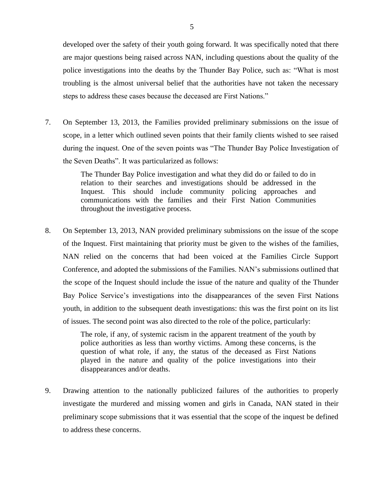developed over the safety of their youth going forward. It was specifically noted that there are major questions being raised across NAN, including questions about the quality of the police investigations into the deaths by the Thunder Bay Police, such as: "What is most troubling is the almost universal belief that the authorities have not taken the necessary steps to address these cases because the deceased are First Nations."

7. On September 13, 2013, the Families provided preliminary submissions on the issue of scope, in a letter which outlined seven points that their family clients wished to see raised during the inquest. One of the seven points was "The Thunder Bay Police Investigation of the Seven Deaths". It was particularized as follows:

> The Thunder Bay Police investigation and what they did do or failed to do in relation to their searches and investigations should be addressed in the Inquest. This should include community policing approaches and communications with the families and their First Nation Communities throughout the investigative process.

8. On September 13, 2013, NAN provided preliminary submissions on the issue of the scope of the Inquest. First maintaining that priority must be given to the wishes of the families, NAN relied on the concerns that had been voiced at the Families Circle Support Conference, and adopted the submissions of the Families. NAN's submissions outlined that the scope of the Inquest should include the issue of the nature and quality of the Thunder Bay Police Service's investigations into the disappearances of the seven First Nations youth, in addition to the subsequent death investigations: this was the first point on its list of issues. The second point was also directed to the role of the police, particularly:

> The role, if any, of systemic racism in the apparent treatment of the youth by police authorities as less than worthy victims. Among these concerns, is the question of what role, if any, the status of the deceased as First Nations played in the nature and quality of the police investigations into their disappearances and/or deaths.

9. Drawing attention to the nationally publicized failures of the authorities to properly investigate the murdered and missing women and girls in Canada, NAN stated in their preliminary scope submissions that it was essential that the scope of the inquest be defined to address these concerns.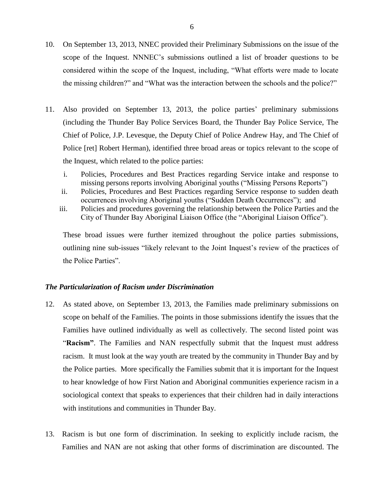- 10. On September 13, 2013, NNEC provided their Preliminary Submissions on the issue of the scope of the Inquest. NNNEC's submissions outlined a list of broader questions to be considered within the scope of the Inquest, including, "What efforts were made to locate the missing children?" and "What was the interaction between the schools and the police?"
- 11. Also provided on September 13, 2013, the police parties' preliminary submissions (including the Thunder Bay Police Services Board, the Thunder Bay Police Service, The Chief of Police, J.P. Levesque, the Deputy Chief of Police Andrew Hay, and The Chief of Police [ret] Robert Herman), identified three broad areas or topics relevant to the scope of the Inquest, which related to the police parties:
	- i. Policies, Procedures and Best Practices regarding Service intake and response to missing persons reports involving Aboriginal youths ("Missing Persons Reports")
	- ii. Policies, Procedures and Best Practices regarding Service response to sudden death occurrences involving Aboriginal youths ("Sudden Death Occurrences"); and
	- iii. Policies and procedures governing the relationship between the Police Parties and the City of Thunder Bay Aboriginal Liaison Office (the "Aboriginal Liaison Office").

These broad issues were further itemized throughout the police parties submissions, outlining nine sub-issues "likely relevant to the Joint Inquest's review of the practices of the Police Parties".

#### <span id="page-5-0"></span>*The Particularization of Racism under Discrimination*

- 12. As stated above, on September 13, 2013, the Families made preliminary submissions on scope on behalf of the Families. The points in those submissions identify the issues that the Families have outlined individually as well as collectively. The second listed point was "**Racism"**. The Families and NAN respectfully submit that the Inquest must address racism. It must look at the way youth are treated by the community in Thunder Bay and by the Police parties. More specifically the Families submit that it is important for the Inquest to hear knowledge of how First Nation and Aboriginal communities experience racism in a sociological context that speaks to experiences that their children had in daily interactions with institutions and communities in Thunder Bay.
- 13. Racism is but one form of discrimination. In seeking to explicitly include racism, the Families and NAN are not asking that other forms of discrimination are discounted. The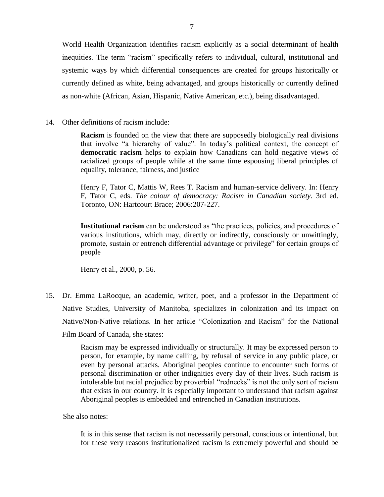World Health Organization identifies racism explicitly as a social determinant of health inequities. The term "racism" specifically refers to individual, cultural, institutional and systemic ways by which differential consequences are created for groups historically or currently defined as white, being advantaged, and groups historically or currently defined as non-white (African, Asian, Hispanic, Native American, etc.), being disadvantaged.

14. Other definitions of racism include:

**Racism** is founded on the view that there are supposedly biologically real divisions that involve "a hierarchy of value". In today's political context, the concept of **democratic racism** helps to explain how Canadians can hold negative views of racialized groups of people while at the same time espousing liberal principles of equality, tolerance, fairness, and justice

Henry F, Tator C, Mattis W, Rees T. Racism and human-service delivery. In: Henry F, Tator C, eds. *The colour of democracy: Racism in Canadian society*. 3rd ed. Toronto, ON: Hartcourt Brace; 2006:207-227.

**Institutional racism** can be understood as "the practices, policies, and procedures of various institutions, which may, directly or indirectly, consciously or unwittingly, promote, sustain or entrench differential advantage or privilege" for certain groups of people

Henry et al., 2000, p. 56.

15. Dr. Emma LaRocque, an academic, writer, poet, and a professor in the Department of Native Studies, University of Manitoba, specializes in colonization and its impact on Native/Non-Native relations. In her article "Colonization and Racism" for the National Film Board of Canada, she states:

> Racism may be expressed individually or structurally. It may be expressed person to person, for example, by name calling, by refusal of service in any public place, or even by personal attacks. Aboriginal peoples continue to encounter such forms of personal discrimination or other indignities every day of their lives. Such racism is intolerable but racial prejudice by proverbial "rednecks" is not the only sort of racism that exists in our country. It is especially important to understand that racism against Aboriginal peoples is embedded and entrenched in Canadian institutions.

She also notes:

It is in this sense that racism is not necessarily personal, conscious or intentional, but for these very reasons institutionalized racism is extremely powerful and should be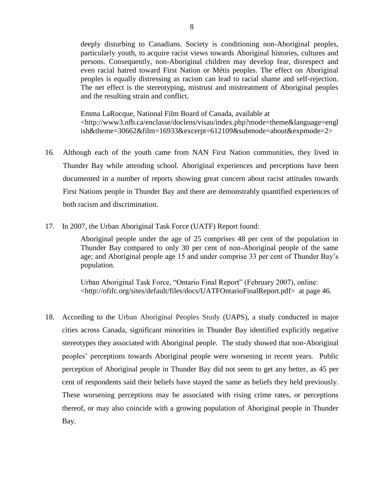deeply disturbing to Canadians. Society is conditioning non-Aboriginal peoples, particularly youth, to acquire racist views towards Aboriginal histories, cultures and persons. Consequently, non-Aboriginal children may develop fear, disrespect and even racial hatred toward First Nation or Métis peoples. The effect on Aboriginal peoples is equally distressing as racism can lead to racial shame and self-rejection. The net effect is the stereotyping, mistrust and mistreatment of Aboriginal peoples and the resulting strain and conflict.

Emma LaRocque, National Film Board of Canada, available at <http://www3.nfb.ca/enclasse/doclens/visau/index.php?mode=theme&language=engl ish&theme=30662&film=16933&excerpt=612109&submode=about&expmode=2>

- 16. Although each of the youth came from NAN First Nation communities, they lived in Thunder Bay while attending school. Aboriginal experiences and perceptions have been documented in a number of reports showing great concern about racist attitudes towards First Nations people in Thunder Bay and there are demonstrably quantified experiences of both racism and discrimination.
- 17. In 2007, the Urban Aboriginal Task Force (UATF) Report found:

Aboriginal people under the age of 25 comprises 48 per cent of the population in Thunder Bay compared to only 30 per cent of non-Aboriginal people of the same age; and Aboriginal people age 15 and under comprise 33 per cent of Thunder Bay's population.

Urban Aboriginal Task Force, "Ontario Final Report" (February 2007), online: <http://ofifc.org/sites/default/files/docs/UATFOntarioFinalReport.pdf> at page 46.

18. According to the Urban Aboriginal Peoples Study (UAPS), a study conducted in major cities across Canada, significant minorities in Thunder Bay identified explicitly negative stereotypes they associated with Aboriginal people. The study showed that non-Aboriginal peoples' perceptions towards Aboriginal people were worsening in recent years. Public perception of Aboriginal people in Thunder Bay did not seem to get any better, as 45 per cent of respondents said their beliefs have stayed the same as beliefs they held previously. These worsening perceptions may be associated with rising crime rates, or perceptions thereof, or may also coincide with a growing population of Aboriginal people in Thunder Bay.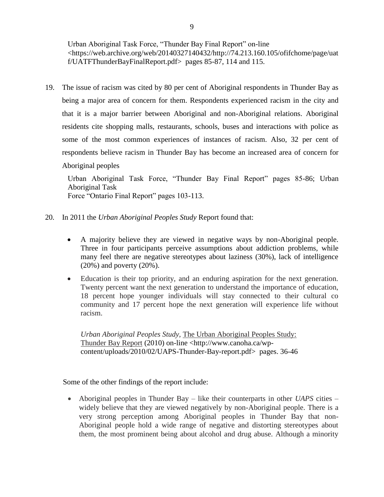Urban Aboriginal Task Force, "Thunder Bay Final Report" on-line <https://web.archive.org/web/20140327140432/http://74.213.160.105/ofifchome/page/uat f/UATFThunderBayFinalReport.pdf> pages 85-87, 114 and 115.

19. The issue of racism was cited by 80 per cent of Aboriginal respondents in Thunder Bay as being a major area of concern for them. Respondents experienced racism in the city and that it is a major barrier between Aboriginal and non-Aboriginal relations. Aboriginal residents cite shopping malls, restaurants, schools, buses and interactions with police as some of the most common experiences of instances of racism. Also, 32 per cent of respondents believe racism in Thunder Bay has become an increased area of concern for Aboriginal peoples

Urban Aboriginal Task Force, "Thunder Bay Final Report" pages 85-86; Urban Aboriginal Task Force "Ontario Final Report" pages 103-113.

- 20. In 2011 the *Urban Aboriginal Peoples Study* Report found that:
	- A majority believe they are viewed in negative ways by non-Aboriginal people. Three in four participants perceive assumptions about addiction problems, while many feel there are negative stereotypes about laziness (30%), lack of intelligence (20%) and poverty (20%).
	- Education is their top priority, and an enduring aspiration for the next generation. Twenty percent want the next generation to understand the importance of education, 18 percent hope younger individuals will stay connected to their cultural co community and 17 percent hope the next generation will experience life without racism.

*Urban Aboriginal Peoples Study,* The Urban Aboriginal Peoples Study: Thunder Bay Report (2010) on-line <http://www.canoha.ca/wpcontent/uploads/2010/02/UAPS-Thunder-Bay-report.pdf> pages. 36-46

Some of the other findings of the report include:

 Aboriginal peoples in Thunder Bay – like their counterparts in other *UAPS* cities – widely believe that they are viewed negatively by non-Aboriginal people. There is a very strong perception among Aboriginal peoples in Thunder Bay that non-Aboriginal people hold a wide range of negative and distorting stereotypes about them, the most prominent being about alcohol and drug abuse. Although a minority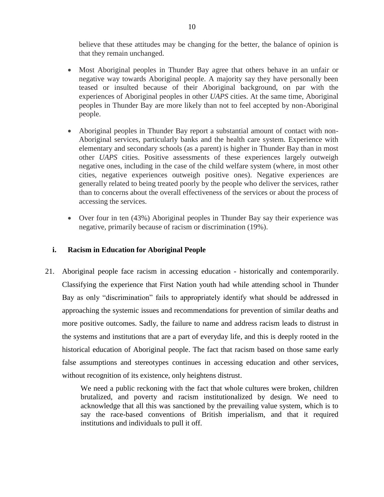believe that these attitudes may be changing for the better, the balance of opinion is that they remain unchanged.

- Most Aboriginal peoples in Thunder Bay agree that others behave in an unfair or negative way towards Aboriginal people. A majority say they have personally been teased or insulted because of their Aboriginal background, on par with the experiences of Aboriginal peoples in other *UAPS* cities. At the same time, Aboriginal peoples in Thunder Bay are more likely than not to feel accepted by non-Aboriginal people.
- Aboriginal peoples in Thunder Bay report a substantial amount of contact with non-Aboriginal services, particularly banks and the health care system. Experience with elementary and secondary schools (as a parent) is higher in Thunder Bay than in most other *UAPS* cities. Positive assessments of these experiences largely outweigh negative ones, including in the case of the child welfare system (where, in most other cities, negative experiences outweigh positive ones). Negative experiences are generally related to being treated poorly by the people who deliver the services, rather than to concerns about the overall effectiveness of the services or about the process of accessing the services.
- Over four in ten (43%) Aboriginal peoples in Thunder Bay say their experience was negative, primarily because of racism or discrimination (19%).

## <span id="page-9-0"></span>**i. Racism in Education for Aboriginal People**

21. Aboriginal people face racism in accessing education - historically and contemporarily. Classifying the experience that First Nation youth had while attending school in Thunder Bay as only "discrimination" fails to appropriately identify what should be addressed in approaching the systemic issues and recommendations for prevention of similar deaths and more positive outcomes. Sadly, the failure to name and address racism leads to distrust in the systems and institutions that are a part of everyday life, and this is deeply rooted in the historical education of Aboriginal people. The fact that racism based on those same early false assumptions and stereotypes continues in accessing education and other services, without recognition of its existence, only heightens distrust.

> We need a public reckoning with the fact that whole cultures were broken, children brutalized, and poverty and racism institutionalized by design. We need to acknowledge that all this was sanctioned by the prevailing value system, which is to say the race-based conventions of British imperialism, and that it required institutions and individuals to pull it off.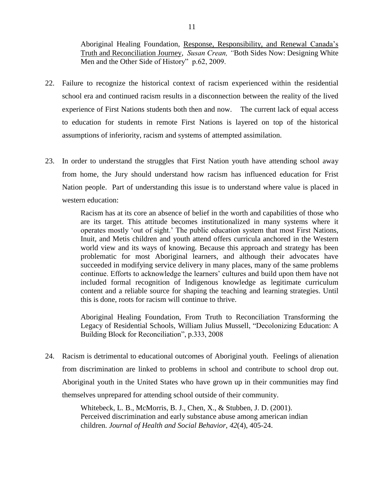Aboriginal Healing Foundation, Response, Responsibility, and Renewal Canada's Truth and Reconciliation Journey, *Susan Crean, "*Both Sides Now: Designing White Men and the Other Side of History" p.62, 2009.

- 22. Failure to recognize the historical context of racism experienced within the residential school era and continued racism results in a disconnection between the reality of the lived experience of First Nations students both then and now. The current lack of equal access to education for students in remote First Nations is layered on top of the historical assumptions of inferiority, racism and systems of attempted assimilation.
- 23. In order to understand the struggles that First Nation youth have attending school away from home, the Jury should understand how racism has influenced education for Frist Nation people. Part of understanding this issue is to understand where value is placed in western education:

Racism has at its core an absence of belief in the worth and capabilities of those who are its target. This attitude becomes institutionalized in many systems where it operates mostly 'out of sight.' The public education system that most First Nations, Inuit, and Metis children and youth attend offers curricula anchored in the Western world view and its ways of knowing. Because this approach and strategy has been problematic for most Aboriginal learners, and although their advocates have succeeded in modifying service delivery in many places, many of the same problems continue. Efforts to acknowledge the learners' cultures and build upon them have not included formal recognition of Indigenous knowledge as legitimate curriculum content and a reliable source for shaping the teaching and learning strategies. Until this is done, roots for racism will continue to thrive.

Aboriginal Healing Foundation, From Truth to Reconciliation Transforming the Legacy of Residential Schools, [William Julius Mussell,](http://speakingmytruth.ca/v2a/?page_id=711#bio) "Decolonizing Education: A Building Block for Reconciliation", p.333, 2008

24. Racism is detrimental to educational outcomes of Aboriginal youth. Feelings of alienation from discrimination are linked to problems in school and contribute to school drop out. Aboriginal youth in the United States who have grown up in their communities may find themselves unprepared for attending school outside of their community.

> Whitebeck, L. B., McMorris, B. J., Chen, X., & Stubben, J. D. (2001). Perceived discrimination and early substance abuse among american indian children. *Journal of Health and Social Behavior, 42*(4), 405-24.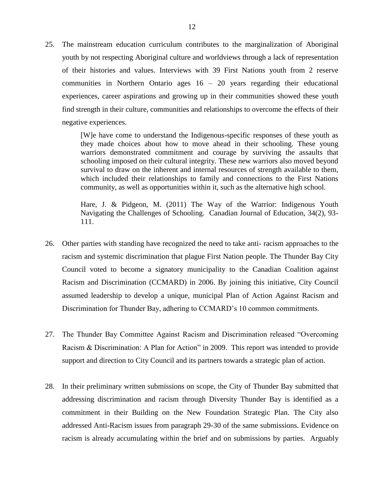25. The mainstream education curriculum contributes to the marginalization of Aboriginal youth by not respecting Aboriginal culture and worldviews through a lack of representation of their histories and values. Interviews with 39 First Nations youth from 2 reserve communities in Northern Ontario ages 16 – 20 years regarding their educational experiences, career aspirations and growing up in their communities showed these youth find strength in their culture, communities and relationships to overcome the effects of their negative experiences.

> [W]e have come to understand the Indigenous-specific responses of these youth as they made choices about how to move ahead in their schooling. These young warriors demonstrated commitment and courage by surviving the assaults that schooling imposed on their cultural integrity. These new warriors also moved beyond survival to draw on the inherent and internal resources of strength available to them, which included their relationships to family and connections to the First Nations community, as well as opportunities within it, such as the alternative high school.

> Hare, J. & Pidgeon, M. (2011) The Way of the Warrior: Indigenous Youth Navigating the Challenges of Schooling. Canadian Journal of Education, 34(2), 93- 111.

- 26. Other parties with standing have recognized the need to take anti- racism approaches to the racism and systemic discrimination that plague First Nation people. The Thunder Bay City Council voted to become a signatory municipality to the Canadian Coalition against Racism and Discrimination (CCMARD) in 2006. By joining this initiative, City Council assumed leadership to develop a unique, municipal Plan of Action Against Racism and Discrimination for Thunder Bay, adhering to CCMARD's 10 common commitments.
- 27. The Thunder Bay Committee Against Racism and Discrimination released "Overcoming Racism & Discrimination: A Plan for Action" in 2009. This report was intended to provide support and direction to City Council and its partners towards a strategic plan of action.
- 28. In their preliminary written submissions on scope, the City of Thunder Bay submitted that addressing discrimination and racism through Diversity Thunder Bay is identified as a commitment in their Building on the New Foundation Strategic Plan. The City also addressed Anti-Racism issues from paragraph 29-30 of the same submissions. Evidence on racism is already accumulating within the brief and on submissions by parties. Arguably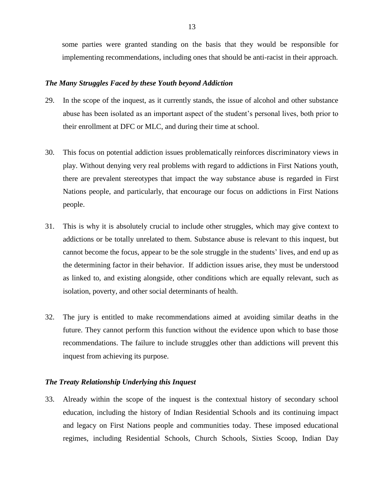some parties were granted standing on the basis that they would be responsible for implementing recommendations, including ones that should be anti-racist in their approach.

#### <span id="page-12-0"></span>*The Many Struggles Faced by these Youth beyond Addiction*

- 29. In the scope of the inquest, as it currently stands, the issue of alcohol and other substance abuse has been isolated as an important aspect of the student's personal lives, both prior to their enrollment at DFC or MLC, and during their time at school.
- 30. This focus on potential addiction issues problematically reinforces discriminatory views in play. Without denying very real problems with regard to addictions in First Nations youth, there are prevalent stereotypes that impact the way substance abuse is regarded in First Nations people, and particularly, that encourage our focus on addictions in First Nations people.
- 31. This is why it is absolutely crucial to include other struggles, which may give context to addictions or be totally unrelated to them. Substance abuse is relevant to this inquest, but cannot become the focus, appear to be the sole struggle in the students' lives, and end up as the determining factor in their behavior. If addiction issues arise, they must be understood as linked to, and existing alongside, other conditions which are equally relevant, such as isolation, poverty, and other social determinants of health.
- 32. The jury is entitled to make recommendations aimed at avoiding similar deaths in the future. They cannot perform this function without the evidence upon which to base those recommendations. The failure to include struggles other than addictions will prevent this inquest from achieving its purpose.

#### <span id="page-12-1"></span>*The Treaty Relationship Underlying this Inquest*

33. Already within the scope of the inquest is the contextual history of secondary school education, including the history of Indian Residential Schools and its continuing impact and legacy on First Nations people and communities today. These imposed educational regimes, including Residential Schools, Church Schools, Sixties Scoop, Indian Day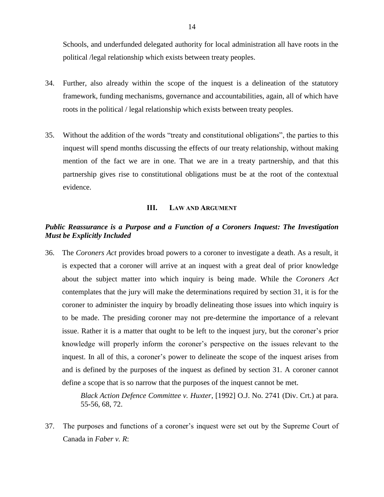Schools, and underfunded delegated authority for local administration all have roots in the political /legal relationship which exists between treaty peoples.

- 34. Further, also already within the scope of the inquest is a delineation of the statutory framework, funding mechanisms, governance and accountabilities, again, all of which have roots in the political / legal relationship which exists between treaty peoples.
- 35. Without the addition of the words "treaty and constitutional obligations", the parties to this inquest will spend months discussing the effects of our treaty relationship, without making mention of the fact we are in one. That we are in a treaty partnership, and that this partnership gives rise to constitutional obligations must be at the root of the contextual evidence.

#### **III. LAW AND ARGUMENT**

## <span id="page-13-1"></span><span id="page-13-0"></span>*Public Reassurance is a Purpose and a Function of a Coroners Inquest: The Investigation Must be Explicitly Included*

36. The *Coroners Act* provides broad powers to a coroner to investigate a death. As a result, it is expected that a coroner will arrive at an inquest with a great deal of prior knowledge about the subject matter into which inquiry is being made. While the *Coroners Act* contemplates that the jury will make the determinations required by section 31, it is for the coroner to administer the inquiry by broadly delineating those issues into which inquiry is to be made. The presiding coroner may not pre-determine the importance of a relevant issue. Rather it is a matter that ought to be left to the inquest jury, but the coroner's prior knowledge will properly inform the coroner's perspective on the issues relevant to the inquest. In all of this, a coroner's power to delineate the scope of the inquest arises from and is defined by the purposes of the inquest as defined by section 31. A coroner cannot define a scope that is so narrow that the purposes of the inquest cannot be met.

> *Black Action Defence Committee v. Huxter*, [1992] O.J. No. 2741 (Div. Crt.) at para. 55-56, 68, 72.

37. The purposes and functions of a coroner's inquest were set out by the Supreme Court of Canada in *Faber v. R*: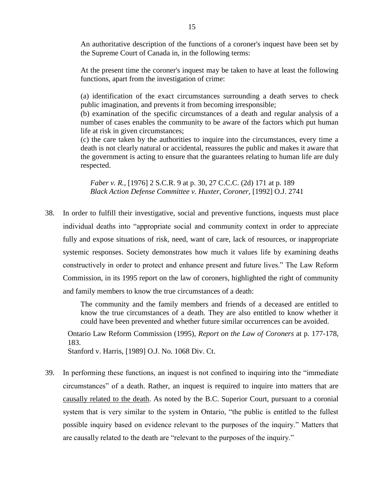An authoritative description of the functions of a coroner's inquest have been set by the Supreme Court of Canada in, in the following terms:

At the present time the coroner's inquest may be taken to have at least the following functions, apart from the investigation of crime:

(a) identification of the exact circumstances surrounding a death serves to check public imagination, and prevents it from becoming irresponsible;

(b) examination of the specific circumstances of a death and regular analysis of a number of cases enables the community to be aware of the factors which put human life at risk in given circumstances;

(c) the care taken by the authorities to inquire into the circumstances, every time a death is not clearly natural or accidental, reassures the public and makes it aware that the government is acting to ensure that the guarantees relating to human life are duly respected.

*Faber v. R.,* [1976] 2 S.C.R. 9 at p. 30, 27 C.C.C. (2d) 171 at p. 189 *Black Action Defense Committee v. Huxter, Coroner,* [1992] O.J. 2741

38. In order to fulfill their investigative, social and preventive functions, inquests must place individual deaths into "appropriate social and community context in order to appreciate fully and expose situations of risk, need, want of care, lack of resources, or inappropriate systemic responses. Society demonstrates how much it values life by examining deaths constructively in order to protect and enhance present and future lives." The Law Reform Commission, in its 1995 report on the law of coroners, highlighted the right of community and family members to know the true circumstances of a death:

> The community and the family members and friends of a deceased are entitled to know the true circumstances of a death. They are also entitled to know whether it could have been prevented and whether future similar occurrences can be avoided.

Ontario Law Reform Commission (1995), *Report on the Law of Coroners* at p. 177-178, 183.

Stanford v. Harris, [1989] O.J. No. 1068 Div. Ct.

39. In performing these functions, an inquest is not confined to inquiring into the "immediate circumstances" of a death. Rather, an inquest is required to inquire into matters that are causally related to the death. As noted by the B.C. Superior Court, pursuant to a coronial system that is very similar to the system in Ontario, "the public is entitled to the fullest possible inquiry based on evidence relevant to the purposes of the inquiry." Matters that are causally related to the death are "relevant to the purposes of the inquiry."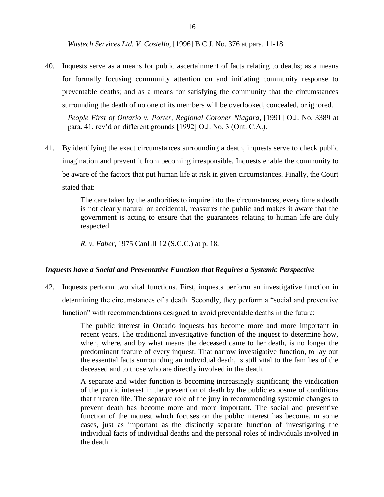*Wastech Services Ltd. V. Costello*, [1996] B.C.J. No. 376 at para. 11-18.

40. Inquests serve as a means for public ascertainment of facts relating to deaths; as a means for formally focusing community attention on and initiating community response to preventable deaths; and as a means for satisfying the community that the circumstances surrounding the death of no one of its members will be overlooked, concealed, or ignored.

*People First of Ontario v. Porter, Regional Coroner Niagara*, [1991] O.J. No. 3389 at para. 41, rev'd on different grounds [1992] O.J. No. 3 (Ont. C.A.).

41. By identifying the exact circumstances surrounding a death, inquests serve to check public imagination and prevent it from becoming irresponsible. Inquests enable the community to be aware of the factors that put human life at risk in given circumstances. Finally, the Court stated that:

> The care taken by the authorities to inquire into the circumstances, every time a death is not clearly natural or accidental, reassures the public and makes it aware that the government is acting to ensure that the guarantees relating to human life are duly respected.

*R. v. Faber*, 1975 CanLII 12 (S.C.C.) at p. 18.

#### <span id="page-15-0"></span>*Inquests have a Social and Preventative Function that Requires a Systemic Perspective*

42. Inquests perform two vital functions. First, inquests perform an investigative function in determining the circumstances of a death. Secondly, they perform a "social and preventive function" with recommendations designed to avoid preventable deaths in the future:

> The public interest in Ontario inquests has become more and more important in recent years. The traditional investigative function of the inquest to determine how, when, where, and by what means the deceased came to her death, is no longer the predominant feature of every inquest. That narrow investigative function, to lay out the essential facts surrounding an individual death, is still vital to the families of the deceased and to those who are directly involved in the death.

> A separate and wider function is becoming increasingly significant; the vindication of the public interest in the prevention of death by the public exposure of conditions that threaten life. The separate role of the jury in recommending systemic changes to prevent death has become more and more important. The social and preventive function of the inquest which focuses on the public interest has become, in some cases, just as important as the distinctly separate function of investigating the individual facts of individual deaths and the personal roles of individuals involved in the death.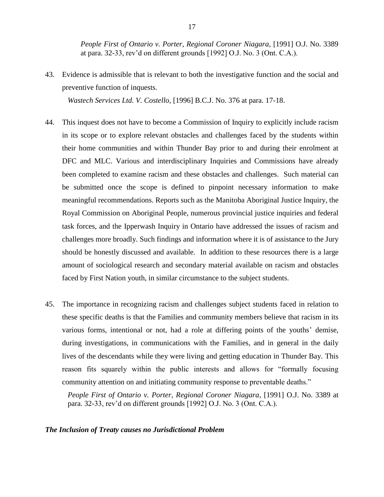*People First of Ontario v. Porter, Regional Coroner Niagara*, [1991] O.J. No. 3389 at para. 32-33, rev'd on different grounds [1992] O.J. No. 3 (Ont. C.A.).

43. Evidence is admissible that is relevant to both the investigative function and the social and preventive function of inquests.

*Wastech Services Ltd. V. Costello*, [1996] B.C.J. No. 376 at para. 17-18.

- 44. This inquest does not have to become a Commission of Inquiry to explicitly include racism in its scope or to explore relevant obstacles and challenges faced by the students within their home communities and within Thunder Bay prior to and during their enrolment at DFC and MLC. Various and interdisciplinary Inquiries and Commissions have already been completed to examine racism and these obstacles and challenges. Such material can be submitted once the scope is defined to pinpoint necessary information to make meaningful recommendations. Reports such as the Manitoba Aboriginal Justice Inquiry, the Royal Commission on Aboriginal People, numerous provincial justice inquiries and federal task forces, and the Ipperwash Inquiry in Ontario have addressed the issues of racism and challenges more broadly. Such findings and information where it is of assistance to the Jury should be honestly discussed and available. In addition to these resources there is a large amount of sociological research and secondary material available on racism and obstacles faced by First Nation youth, in similar circumstance to the subject students.
- 45. The importance in recognizing racism and challenges subject students faced in relation to these specific deaths is that the Families and community members believe that racism in its various forms, intentional or not, had a role at differing points of the youths' demise, during investigations, in communications with the Families, and in general in the daily lives of the descendants while they were living and getting education in Thunder Bay. This reason fits squarely within the public interests and allows for "formally focusing community attention on and initiating community response to preventable deaths."

*People First of Ontario v. Porter, Regional Coroner Niagara*, [1991] O.J. No. 3389 at para. 32-33, rev'd on different grounds [1992] O.J. No. 3 (Ont. C.A.).

#### <span id="page-16-0"></span>*The Inclusion of Treaty causes no Jurisdictional Problem*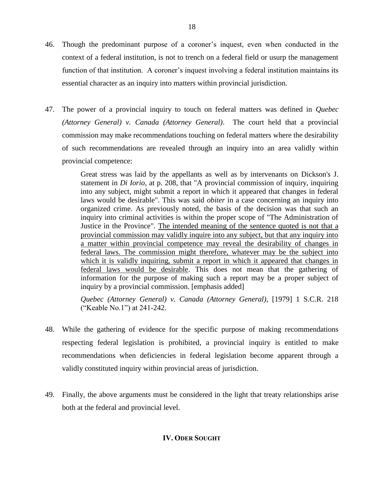- 46. Though the predominant purpose of a coroner's inquest, even when conducted in the context of a federal institution, is not to trench on a federal field or usurp the management function of that institution. A coroner's inquest involving a federal institution maintains its essential character as an inquiry into matters within provincial jurisdiction.
- 47. The power of a provincial inquiry to touch on federal matters was defined in *Quebec (Attorney General) v. Canada (Attorney General)*. The court held that a provincial commission may make recommendations touching on federal matters where the desirability of such recommendations are revealed through an inquiry into an area validly within provincial competence:

Great stress was laid by the appellants as well as by intervenants on Dickson's J. statement in *Di Iorio*, at p. 208, that "A provincial commission of inquiry, inquiring into any subject, might submit a report in which it appeared that changes in federal laws would be desirable". This was said *obiter* in a case concerning an inquiry into organized crime. As previously noted, the basis of the decision was that such an inquiry into criminal activities is within the proper scope of "The Administration of Justice in the Province". The intended meaning of the sentence quoted is not that a provincial commission may validly inquire into any subject, but that any inquiry into a matter within provincial competence may reveal the desirability of changes in federal laws. The commission might therefore, whatever may be the subject into which it is validly inquiring, submit a report in which it appeared that changes in federal laws would be desirable. This does not mean that the gathering of information for the purpose of making such a report may be a proper subject of inquiry by a provincial commission. [emphasis added]

*Quebec (Attorney General) v. Canada (Attorney General)*, [1979] 1 S.C.R. 218 ("Keable No.1") at 241-242.

- 48. While the gathering of evidence for the specific purpose of making recommendations respecting federal legislation is prohibited, a provincial inquiry is entitled to make recommendations when deficiencies in federal legislation become apparent through a validly constituted inquiry within provincial areas of jurisdiction.
- <span id="page-17-0"></span>49. Finally, the above arguments must be considered in the light that treaty relationships arise both at the federal and provincial level.

# **IV. ODER SOUGHT**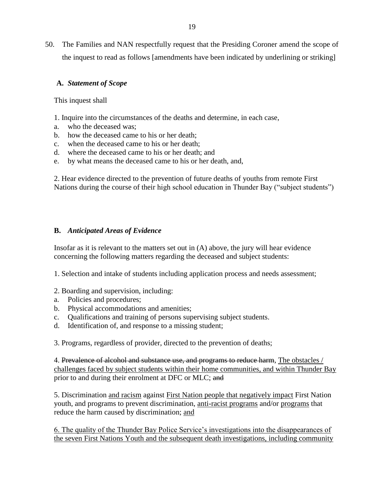50. The Families and NAN respectfully request that the Presiding Coroner amend the scope of the inquest to read as follows [amendments have been indicated by underlining or striking]

# **A.** *Statement of Scope*

This inquest shall

- 1. Inquire into the circumstances of the deaths and determine, in each case,
- a. who the deceased was;
- b. how the deceased came to his or her death;
- c. when the deceased came to his or her death;
- d. where the deceased came to his or her death; and
- e. by what means the deceased came to his or her death, and,

2. Hear evidence directed to the prevention of future deaths of youths from remote First Nations during the course of their high school education in Thunder Bay ("subject students")

## **B.** *Anticipated Areas of Evidence*

Insofar as it is relevant to the matters set out in (A) above, the jury will hear evidence concerning the following matters regarding the deceased and subject students:

1. Selection and intake of students including application process and needs assessment;

## 2. Boarding and supervision, including:

- a. Policies and procedures;
- b. Physical accommodations and amenities;
- c. Qualifications and training of persons supervising subject students.
- d. Identification of, and response to a missing student;

3. Programs, regardless of provider, directed to the prevention of deaths;

4. Prevalence of alcohol and substance use, and programs to reduce harm, The obstacles / challenges faced by subject students within their home communities, and within Thunder Bay prior to and during their enrolment at DFC or MLC; and

5. Discrimination and racism against First Nation people that negatively impact First Nation youth, and programs to prevent discrimination, anti-racist programs and/or programs that reduce the harm caused by discrimination; and

6. The quality of the Thunder Bay Police Service's investigations into the disappearances of the seven First Nations Youth and the subsequent death investigations, including community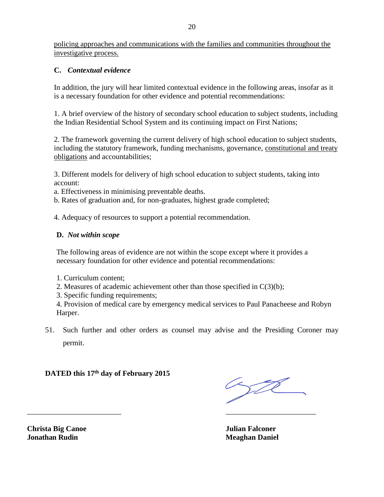policing approaches and communications with the families and communities throughout the investigative process.

# **C.** *Contextual evidence*

In addition, the jury will hear limited contextual evidence in the following areas, insofar as it is a necessary foundation for other evidence and potential recommendations:

1. A brief overview of the history of secondary school education to subject students, including the Indian Residential School System and its continuing impact on First Nations;

2. The framework governing the current delivery of high school education to subject students, including the statutory framework, funding mechanisms, governance, constitutional and treaty obligations and accountabilities;

3. Different models for delivery of high school education to subject students, taking into account:

a. Effectiveness in minimising preventable deaths.

b. Rates of graduation and, for non-graduates, highest grade completed;

4. Adequacy of resources to support a potential recommendation.

# **D.** *Not within scope*

The following areas of evidence are not within the scope except where it provides a necessary foundation for other evidence and potential recommendations:

- 1. Curriculum content;
- 2. Measures of academic achievement other than those specified in C(3)(b);

 $\overline{\phantom{a}}$  , and the contract of the contract of the contract of the contract of the contract of the contract of the contract of the contract of the contract of the contract of the contract of the contract of the contrac

3. Specific funding requirements;

4. Provision of medical care by emergency medical services to Paul Panacheese and Robyn Harper.

51. Such further and other orders as counsel may advise and the Presiding Coroner may permit.

**DATED this 17th day of February 2015**

t

**Christa Big Canoe Julian Falconer Jonathan Rudin Meaghan Daniel**